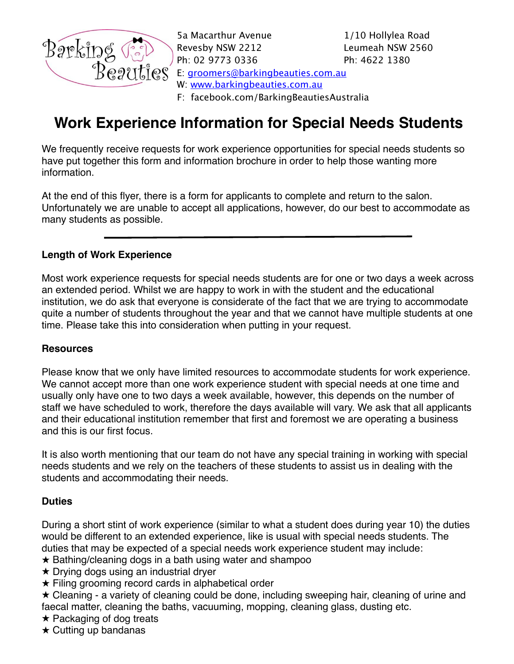

5a Macarthur Avenue 
1/10 Hollylea Road Revesby NSW 2212 
Leumeah NSW 2560 Ph: 02 9773 0336 
Ph: 4622 1380 E: [groomers@barkingbeauties.com.au](mailto:groomers@barkingbeauties.com.au)

W: [www.barkingbeauties.com.au](http://www.barkingbeauties.com.au)

F: facebook.com/BarkingBeautiesAustralia

# **Work Experience Information for Special Needs Students**

We frequently receive requests for work experience opportunities for special needs students so have put together this form and information brochure in order to help those wanting more information.

At the end of this flyer, there is a form for applicants to complete and return to the salon. Unfortunately we are unable to accept all applications, however, do our best to accommodate as many students as possible.

## **Length of Work Experience**

Most work experience requests for special needs students are for one or two days a week across an extended period. Whilst we are happy to work in with the student and the educational institution, we do ask that everyone is considerate of the fact that we are trying to accommodate quite a number of students throughout the year and that we cannot have multiple students at one time. Please take this into consideration when putting in your request.

## **Resources**

Please know that we only have limited resources to accommodate students for work experience. We cannot accept more than one work experience student with special needs at one time and usually only have one to two days a week available, however, this depends on the number of staff we have scheduled to work, therefore the days available will vary. We ask that all applicants and their educational institution remember that first and foremost we are operating a business and this is our first focus.

It is also worth mentioning that our team do not have any special training in working with special needs students and we rely on the teachers of these students to assist us in dealing with the students and accommodating their needs.

## **Duties**

During a short stint of work experience (similar to what a student does during year 10) the duties would be different to an extended experience, like is usual with special needs students. The duties that may be expected of a special needs work experience student may include:

- $\star$  Bathing/cleaning dogs in a bath using water and shampoo
- $\star$  Drying dogs using an industrial dryer
- ★ Filing grooming record cards in alphabetical order
- ★ Cleaning a variety of cleaning could be done, including sweeping hair, cleaning of urine and faecal matter, cleaning the baths, vacuuming, mopping, cleaning glass, dusting etc.
- $\star$  Packaging of dog treats
- $\star$  Cutting up bandanas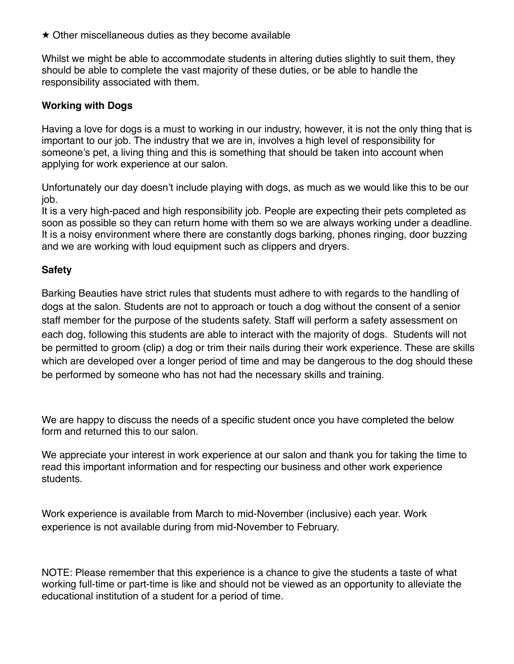$\star$  Other miscellaneous duties as they become available

Whilst we might be able to accommodate students in altering duties slightly to suit them, they should be able to complete the vast majority of these duties, or be able to handle the responsibility associated with them.

### **Working with Dogs**

Having a love for dogs is a must to working in our industry, however, it is not the only thing that is important to our job. The industry that we are in, involves a high level of responsibility for someone's pet, a living thing and this is something that should be taken into account when applying for work experience at our salon.

Unfortunately our day doesn't include playing with dogs, as much as we would like this to be our job.

It is a very high-paced and high responsibility job. People are expecting their pets completed as soon as possible so they can return home with them so we are always working under a deadline. It is a noisy environment where there are constantly dogs barking, phones ringing, door buzzing and we are working with loud equipment such as clippers and dryers.

## **Safety**

Barking Beauties have strict rules that students must adhere to with regards to the handling of dogs at the salon. Students are not to approach or touch a dog without the consent of a senior staff member for the purpose of the students safety. Staff will perform a safety assessment on each dog, following this students are able to interact with the majority of dogs. Students will not be permitted to groom (clip) a dog or trim their nails during their work experience. These are skills which are developed over a longer period of time and may be dangerous to the dog should these be performed by someone who has not had the necessary skills and training.

We are happy to discuss the needs of a specific student once you have completed the below form and returned this to our salon.

We appreciate your interest in work experience at our salon and thank you for taking the time to read this important information and for respecting our business and other work experience students.

Work experience is available from March to mid-November (inclusive) each year. Work experience is not available during from mid-November to February.

NOTE: Please remember that this experience is a chance to give the students a taste of what working full-time or part-time is like and should not be viewed as an opportunity to alleviate the educational institution of a student for a period of time.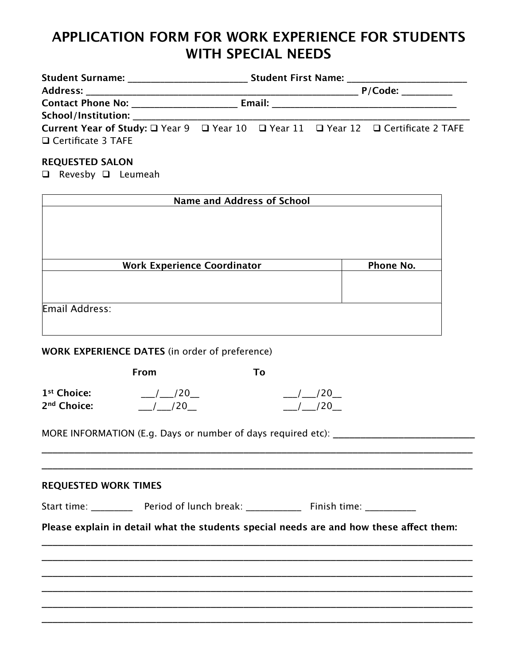## **APPLICATION FORM FOR WORK EXPERIENCE FOR STUDENTS WITH SPECIAL NEEDS**

| Student Surname: ________________________                                                                                                                                  |                                    |  |  |           |  |  |
|----------------------------------------------------------------------------------------------------------------------------------------------------------------------------|------------------------------------|--|--|-----------|--|--|
|                                                                                                                                                                            | P/Code:                            |  |  |           |  |  |
|                                                                                                                                                                            |                                    |  |  |           |  |  |
|                                                                                                                                                                            |                                    |  |  |           |  |  |
| Current Year of Study: □ Year 9 □ Year 10 □ Year 11 □ Year 12 □ Certificate 2 TAFE<br>$\Box$ Certificate 3 TAFE<br><b>REQUESTED SALON</b><br>$\Box$ Revesby $\Box$ Leumeah |                                    |  |  |           |  |  |
|                                                                                                                                                                            | Name and Address of School         |  |  |           |  |  |
|                                                                                                                                                                            | <b>Work Experience Coordinator</b> |  |  | Phone No. |  |  |

Email Address:

### **WORK EXPERIENCE DATES** (in order of preference)

|                         | From    | To: |     |
|-------------------------|---------|-----|-----|
| 1 <sup>st</sup> Choice: | - 720 - |     | /20 |
| 2 <sup>nd</sup> Choice: | $120 -$ |     |     |

MORE INFORMATION (E.g. Days or number of days required etc): \_\_\_\_\_\_\_\_\_\_\_\_\_\_\_\_\_\_\_

### **REQUESTED WORK TIMES**

Start time: \_\_\_\_\_\_\_\_\_\_\_\_\_ Period of lunch break: \_\_\_\_\_\_\_\_\_\_\_\_\_\_\_\_\_ Finish time: \_\_\_\_\_\_\_\_\_\_\_\_\_

**Please explain in detail what the students special needs are and how these afect them:**

\_\_\_\_\_\_\_\_\_\_\_\_\_\_\_\_\_\_\_\_\_\_\_\_\_\_\_\_\_\_\_\_\_\_\_\_\_\_\_\_\_\_\_\_\_\_\_\_\_\_\_\_\_\_\_\_\_\_\_\_\_\_\_\_\_\_\_\_\_\_\_\_\_\_\_\_\_\_\_ \_\_\_\_\_\_\_\_\_\_\_\_\_\_\_\_\_\_\_\_\_\_\_\_\_\_\_\_\_\_\_\_\_\_\_\_\_\_\_\_\_\_\_\_\_\_\_\_\_\_\_\_\_\_\_\_\_\_\_\_\_\_\_\_\_\_\_\_\_\_\_\_\_\_\_\_\_\_\_ \_\_\_\_\_\_\_\_\_\_\_\_\_\_\_\_\_\_\_\_\_\_\_\_\_\_\_\_\_\_\_\_\_\_\_\_\_\_\_\_\_\_\_\_\_\_\_\_\_\_\_\_\_\_\_\_\_\_\_\_\_\_\_\_\_\_\_\_\_\_\_\_\_\_\_\_\_\_\_ \_\_\_\_\_\_\_\_\_\_\_\_\_\_\_\_\_\_\_\_\_\_\_\_\_\_\_\_\_\_\_\_\_\_\_\_\_\_\_\_\_\_\_\_\_\_\_\_\_\_\_\_\_\_\_\_\_\_\_\_\_\_\_\_\_\_\_\_\_\_\_\_\_\_\_\_\_\_\_ \_\_\_\_\_\_\_\_\_\_\_\_\_\_\_\_\_\_\_\_\_\_\_\_\_\_\_\_\_\_\_\_\_\_\_\_\_\_\_\_\_\_\_\_\_\_\_\_\_\_\_\_\_\_\_\_\_\_\_\_\_\_\_\_\_\_\_\_\_\_\_\_\_\_\_\_\_\_\_ \_\_\_\_\_\_\_\_\_\_\_\_\_\_\_\_\_\_\_\_\_\_\_\_\_\_\_\_\_\_\_\_\_\_\_\_\_\_\_\_\_\_\_\_\_\_\_\_\_\_\_\_\_\_\_\_\_\_\_\_\_\_\_\_\_\_\_\_\_\_\_\_\_\_\_\_\_\_\_

\_\_\_\_\_\_\_\_\_\_\_\_\_\_\_\_\_\_\_\_\_\_\_\_\_\_\_\_\_\_\_\_\_\_\_\_\_\_\_\_\_\_\_\_\_\_\_\_\_\_\_\_\_\_\_\_\_\_\_\_\_\_\_\_\_\_\_\_\_\_\_\_\_\_\_\_\_\_\_ \_\_\_\_\_\_\_\_\_\_\_\_\_\_\_\_\_\_\_\_\_\_\_\_\_\_\_\_\_\_\_\_\_\_\_\_\_\_\_\_\_\_\_\_\_\_\_\_\_\_\_\_\_\_\_\_\_\_\_\_\_\_\_\_\_\_\_\_\_\_\_\_\_\_\_\_\_\_\_